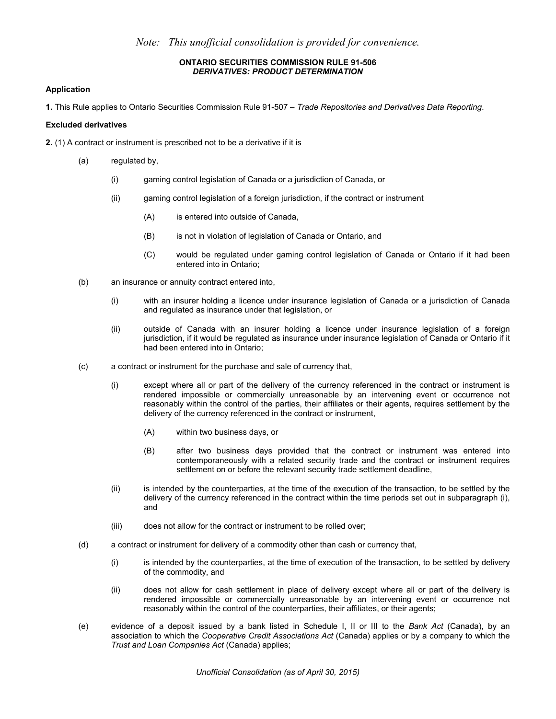*Note: This unofficial consolidation is provided for convenience.*

# **ONTARIO SECURITIES COMMISSION RULE 91-506** *DERIVATIVES: PRODUCT DETERMINATION*

# **Application**

**1.** This Rule applies to Ontario Securities Commission Rule 91-507 – *Trade Repositories and Derivatives Data Reporting*.

# **Excluded derivatives**

**2.** (1) A contract or instrument is prescribed not to be a derivative if it is

- (a) regulated by,
	- (i) gaming control legislation of Canada or a jurisdiction of Canada, or
	- (ii) gaming control legislation of a foreign jurisdiction, if the contract or instrument
		- (A) is entered into outside of Canada,
		- (B) is not in violation of legislation of Canada or Ontario, and
		- (C) would be regulated under gaming control legislation of Canada or Ontario if it had been entered into in Ontario;
- (b) an insurance or annuity contract entered into,
	- (i) with an insurer holding a licence under insurance legislation of Canada or a jurisdiction of Canada and regulated as insurance under that legislation, or
	- (ii) outside of Canada with an insurer holding a licence under insurance legislation of a foreign jurisdiction, if it would be regulated as insurance under insurance legislation of Canada or Ontario if it had been entered into in Ontario;
- (c) a contract or instrument for the purchase and sale of currency that,
	- (i) except where all or part of the delivery of the currency referenced in the contract or instrument is rendered impossible or commercially unreasonable by an intervening event or occurrence not reasonably within the control of the parties, their affiliates or their agents, requires settlement by the delivery of the currency referenced in the contract or instrument,
		- (A) within two business days, or
		- (B) after two business days provided that the contract or instrument was entered into contemporaneously with a related security trade and the contract or instrument requires settlement on or before the relevant security trade settlement deadline,
	- (ii) is intended by the counterparties, at the time of the execution of the transaction, to be settled by the delivery of the currency referenced in the contract within the time periods set out in subparagraph (i), and
	- (iii) does not allow for the contract or instrument to be rolled over;
- (d) a contract or instrument for delivery of a commodity other than cash or currency that,
	- (i) is intended by the counterparties, at the time of execution of the transaction, to be settled by delivery of the commodity, and
	- (ii) does not allow for cash settlement in place of delivery except where all or part of the delivery is rendered impossible or commercially unreasonable by an intervening event or occurrence not reasonably within the control of the counterparties, their affiliates, or their agents;
- (e) evidence of a deposit issued by a bank listed in Schedule I, II or III to the *Bank Act* (Canada), by an association to which the *Cooperative Credit Associations Act* (Canada) applies or by a company to which the *Trust and Loan Companies Act* (Canada) applies;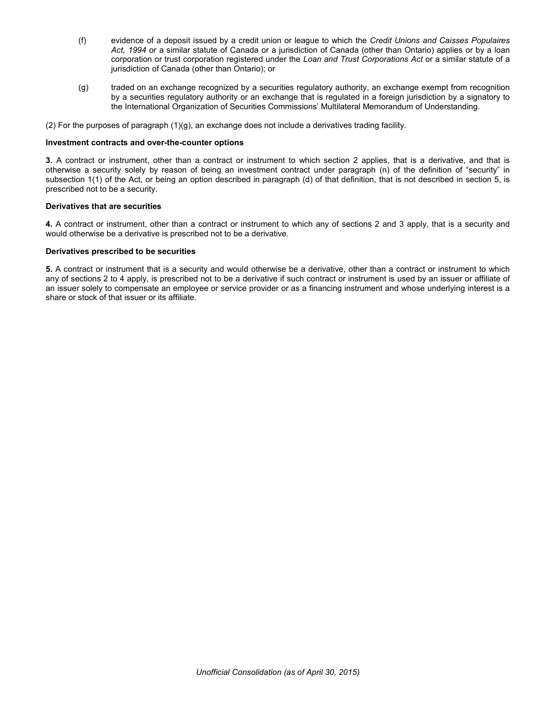- (f) evidence of a deposit issued by a credit union or league to which the *Credit Unions and Caisses Populaires Act, 1994* or a similar statute of Canada or a jurisdiction of Canada (other than Ontario) applies or by a loan corporation or trust corporation registered under the *Loan and Trust Corporations Act* or a similar statute of a jurisdiction of Canada (other than Ontario); or
- (g) traded on an exchange recognized by a securities regulatory authority, an exchange exempt from recognition by a securities regulatory authority or an exchange that is regulated in a foreign jurisdiction by a signatory to the International Organization of Securities Commissions' Multilateral Memorandum of Understanding.

(2) For the purposes of paragraph (1)(g), an exchange does not include a derivatives trading facility.

### **Investment contracts and over-the-counter options**

**3.** A contract or instrument, other than a contract or instrument to which section 2 applies, that is a derivative, and that is otherwise a security solely by reason of being an investment contract under paragraph (n) of the definition of "security" in subsection 1(1) of the Act, or being an option described in paragraph (d) of that definition, that is not described in section 5, is prescribed not to be a security.

### **Derivatives that are securities**

**4.** A contract or instrument, other than a contract or instrument to which any of sections 2 and 3 apply, that is a security and would otherwise be a derivative is prescribed not to be a derivative.

### **Derivatives prescribed to be securities**

**5.** A contract or instrument that is a security and would otherwise be a derivative, other than a contract or instrument to which any of sections 2 to 4 apply, is prescribed not to be a derivative if such contract or instrument is used by an issuer or affiliate of an issuer solely to compensate an employee or service provider or as a financing instrument and whose underlying interest is a share or stock of that issuer or its affiliate.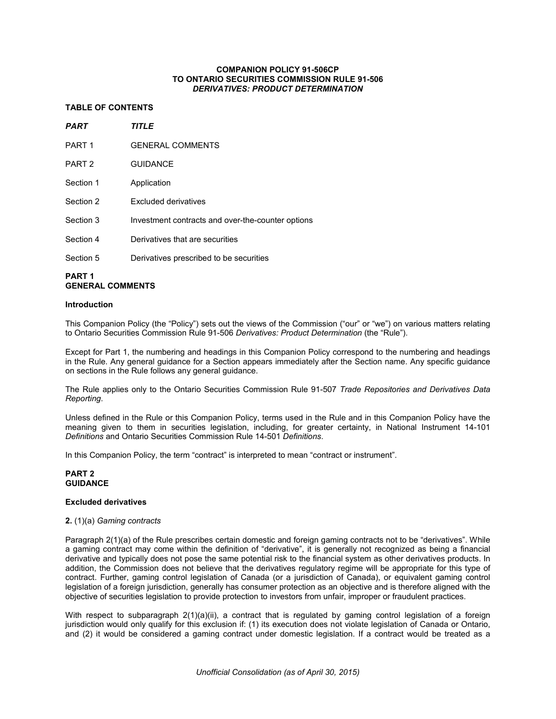### **COMPANION POLICY 91-506CP TO ONTARIO SECURITIES COMMISSION RULE 91-506** *DERIVATIVES: PRODUCT DETERMINATION*

# **TABLE OF CONTENTS**

| PART              | TITLE                                             |
|-------------------|---------------------------------------------------|
| PART <sub>1</sub> | <b>GENERAL COMMENTS</b>                           |
| PART <sub>2</sub> | <b>GUIDANCE</b>                                   |
| Section 1         | Application                                       |
| Section 2         | <b>Excluded derivatives</b>                       |
| Section 3         | Investment contracts and over-the-counter options |
| Section 4         | Derivatives that are securities                   |
| Section 5         | Derivatives prescribed to be securities           |
|                   |                                                   |

# **PART 1 GENERAL COMMENTS**

### **Introduction**

This Companion Policy (the "Policy") sets out the views of the Commission ("our" or "we") on various matters relating to Ontario Securities Commission Rule 91-506 *Derivatives: Product Determination* (the "Rule").

Except for Part 1, the numbering and headings in this Companion Policy correspond to the numbering and headings in the Rule. Any general guidance for a Section appears immediately after the Section name. Any specific guidance on sections in the Rule follows any general guidance.

The Rule applies only to the Ontario Securities Commission Rule 91-507 *Trade Repositories and Derivatives Data Reporting*.

Unless defined in the Rule or this Companion Policy, terms used in the Rule and in this Companion Policy have the meaning given to them in securities legislation, including, for greater certainty, in National Instrument 14-101 *Definitions* and Ontario Securities Commission Rule 14-501 *Definitions*.

In this Companion Policy, the term "contract" is interpreted to mean "contract or instrument".

### **PART 2 GUIDANCE**

# **Excluded derivatives**

#### **2.** (1)(a) *Gaming contracts*

Paragraph 2(1)(a) of the Rule prescribes certain domestic and foreign gaming contracts not to be "derivatives". While a gaming contract may come within the definition of "derivative", it is generally not recognized as being a financial derivative and typically does not pose the same potential risk to the financial system as other derivatives products. In addition, the Commission does not believe that the derivatives regulatory regime will be appropriate for this type of contract. Further, gaming control legislation of Canada (or a jurisdiction of Canada), or equivalent gaming control legislation of a foreign jurisdiction, generally has consumer protection as an objective and is therefore aligned with the objective of securities legislation to provide protection to investors from unfair, improper or fraudulent practices.

With respect to subparagraph  $2(1)(a)(ii)$ , a contract that is regulated by gaming control legislation of a foreign jurisdiction would only qualify for this exclusion if: (1) its execution does not violate legislation of Canada or Ontario, and (2) it would be considered a gaming contract under domestic legislation. If a contract would be treated as a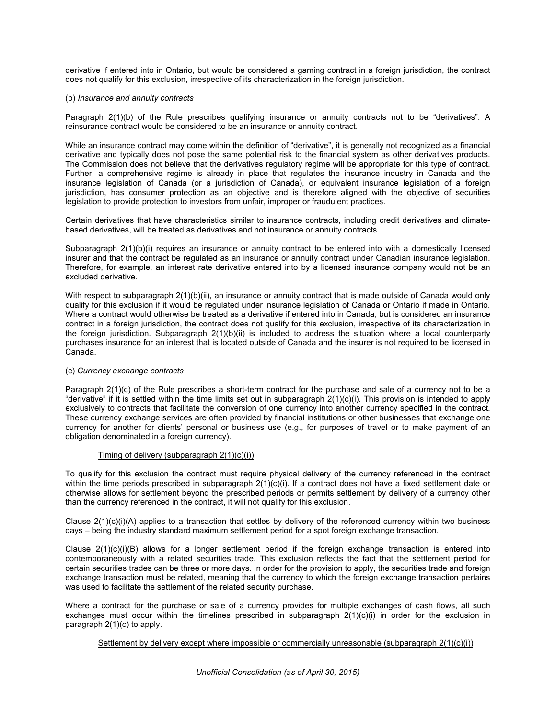derivative if entered into in Ontario, but would be considered a gaming contract in a foreign jurisdiction, the contract does not qualify for this exclusion, irrespective of its characterization in the foreign jurisdiction.

### (b) *Insurance and annuity contracts*

Paragraph 2(1)(b) of the Rule prescribes qualifying insurance or annuity contracts not to be "derivatives". A reinsurance contract would be considered to be an insurance or annuity contract.

While an insurance contract may come within the definition of "derivative", it is generally not recognized as a financial derivative and typically does not pose the same potential risk to the financial system as other derivatives products. The Commission does not believe that the derivatives regulatory regime will be appropriate for this type of contract. Further, a comprehensive regime is already in place that regulates the insurance industry in Canada and the insurance legislation of Canada (or a jurisdiction of Canada), or equivalent insurance legislation of a foreign jurisdiction, has consumer protection as an objective and is therefore aligned with the objective of securities legislation to provide protection to investors from unfair, improper or fraudulent practices.

Certain derivatives that have characteristics similar to insurance contracts, including credit derivatives and climatebased derivatives, will be treated as derivatives and not insurance or annuity contracts.

Subparagraph 2(1)(b)(i) requires an insurance or annuity contract to be entered into with a domestically licensed insurer and that the contract be regulated as an insurance or annuity contract under Canadian insurance legislation. Therefore, for example, an interest rate derivative entered into by a licensed insurance company would not be an excluded derivative.

With respect to subparagraph 2(1)(b)(ii), an insurance or annuity contract that is made outside of Canada would only qualify for this exclusion if it would be regulated under insurance legislation of Canada or Ontario if made in Ontario. Where a contract would otherwise be treated as a derivative if entered into in Canada, but is considered an insurance contract in a foreign jurisdiction, the contract does not qualify for this exclusion, irrespective of its characterization in the foreign jurisdiction. Subparagraph  $2(1)(b)(ii)$  is included to address the situation where a local counterparty purchases insurance for an interest that is located outside of Canada and the insurer is not required to be licensed in Canada.

# (c) *Currency exchange contracts*

Paragraph 2(1)(c) of the Rule prescribes a short-term contract for the purchase and sale of a currency not to be a "derivative" if it is settled within the time limits set out in subparagraph  $2(1)(c)(i)$ . This provision is intended to apply exclusively to contracts that facilitate the conversion of one currency into another currency specified in the contract. These currency exchange services are often provided by financial institutions or other businesses that exchange one currency for another for clients' personal or business use (e.g., for purposes of travel or to make payment of an obligation denominated in a foreign currency).

#### Timing of delivery (subparagraph 2(1)(c)(i))

To qualify for this exclusion the contract must require physical delivery of the currency referenced in the contract within the time periods prescribed in subparagraph  $2(1)(c)(i)$ . If a contract does not have a fixed settlement date or otherwise allows for settlement beyond the prescribed periods or permits settlement by delivery of a currency other than the currency referenced in the contract, it will not qualify for this exclusion.

Clause  $2(1)(c)(i)(A)$  applies to a transaction that settles by delivery of the referenced currency within two business days – being the industry standard maximum settlement period for a spot foreign exchange transaction.

Clause 2(1)(c)(i)(B) allows for a longer settlement period if the foreign exchange transaction is entered into contemporaneously with a related securities trade. This exclusion reflects the fact that the settlement period for certain securities trades can be three or more days. In order for the provision to apply, the securities trade and foreign exchange transaction must be related, meaning that the currency to which the foreign exchange transaction pertains was used to facilitate the settlement of the related security purchase.

Where a contract for the purchase or sale of a currency provides for multiple exchanges of cash flows, all such exchanges must occur within the timelines prescribed in subparagraph  $2(1)(c)(i)$  in order for the exclusion in paragraph 2(1)(c) to apply.

# Settlement by delivery except where impossible or commercially unreasonable (subparagraph 2(1)(c)(i))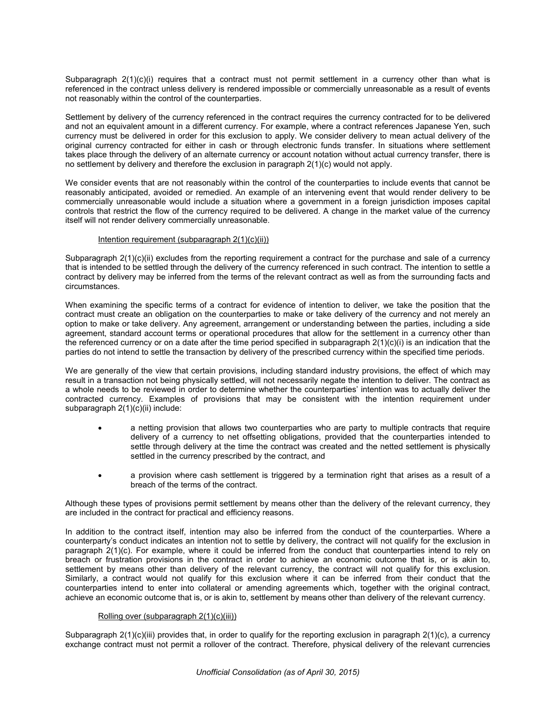Subparagraph  $2(1)(c)(i)$  requires that a contract must not permit settlement in a currency other than what is referenced in the contract unless delivery is rendered impossible or commercially unreasonable as a result of events not reasonably within the control of the counterparties.

Settlement by delivery of the currency referenced in the contract requires the currency contracted for to be delivered and not an equivalent amount in a different currency. For example, where a contract references Japanese Yen, such currency must be delivered in order for this exclusion to apply. We consider delivery to mean actual delivery of the original currency contracted for either in cash or through electronic funds transfer. In situations where settlement takes place through the delivery of an alternate currency or account notation without actual currency transfer, there is no settlement by delivery and therefore the exclusion in paragraph 2(1)(c) would not apply.

We consider events that are not reasonably within the control of the counterparties to include events that cannot be reasonably anticipated, avoided or remedied. An example of an intervening event that would render delivery to be commercially unreasonable would include a situation where a government in a foreign jurisdiction imposes capital controls that restrict the flow of the currency required to be delivered. A change in the market value of the currency itself will not render delivery commercially unreasonable.

### Intention requirement (subparagraph 2(1)(c)(ii))

Subparagraph 2(1)(c)(ii) excludes from the reporting requirement a contract for the purchase and sale of a currency that is intended to be settled through the delivery of the currency referenced in such contract. The intention to settle a contract by delivery may be inferred from the terms of the relevant contract as well as from the surrounding facts and circumstances.

When examining the specific terms of a contract for evidence of intention to deliver, we take the position that the contract must create an obligation on the counterparties to make or take delivery of the currency and not merely an option to make or take delivery. Any agreement, arrangement or understanding between the parties, including a side agreement, standard account terms or operational procedures that allow for the settlement in a currency other than the referenced currency or on a date after the time period specified in subparagraph  $2(1)(c)(i)$  is an indication that the parties do not intend to settle the transaction by delivery of the prescribed currency within the specified time periods.

We are generally of the view that certain provisions, including standard industry provisions, the effect of which may result in a transaction not being physically settled, will not necessarily negate the intention to deliver. The contract as a whole needs to be reviewed in order to determine whether the counterparties' intention was to actually deliver the contracted currency. Examples of provisions that may be consistent with the intention requirement under subparagraph 2(1)(c)(ii) include:

- a netting provision that allows two counterparties who are party to multiple contracts that require delivery of a currency to net offsetting obligations, provided that the counterparties intended to settle through delivery at the time the contract was created and the netted settlement is physically settled in the currency prescribed by the contract, and
- a provision where cash settlement is triggered by a termination right that arises as a result of a breach of the terms of the contract.

Although these types of provisions permit settlement by means other than the delivery of the relevant currency, they are included in the contract for practical and efficiency reasons.

In addition to the contract itself, intention may also be inferred from the conduct of the counterparties. Where a counterparty's conduct indicates an intention not to settle by delivery, the contract will not qualify for the exclusion in paragraph 2(1)(c). For example, where it could be inferred from the conduct that counterparties intend to rely on breach or frustration provisions in the contract in order to achieve an economic outcome that is, or is akin to, settlement by means other than delivery of the relevant currency, the contract will not qualify for this exclusion. Similarly, a contract would not qualify for this exclusion where it can be inferred from their conduct that the counterparties intend to enter into collateral or amending agreements which, together with the original contract, achieve an economic outcome that is, or is akin to, settlement by means other than delivery of the relevant currency.

# Rolling over (subparagraph 2(1)(c)(iii))

Subparagraph 2(1)(c)(iii) provides that, in order to qualify for the reporting exclusion in paragraph 2(1)(c), a currency exchange contract must not permit a rollover of the contract. Therefore, physical delivery of the relevant currencies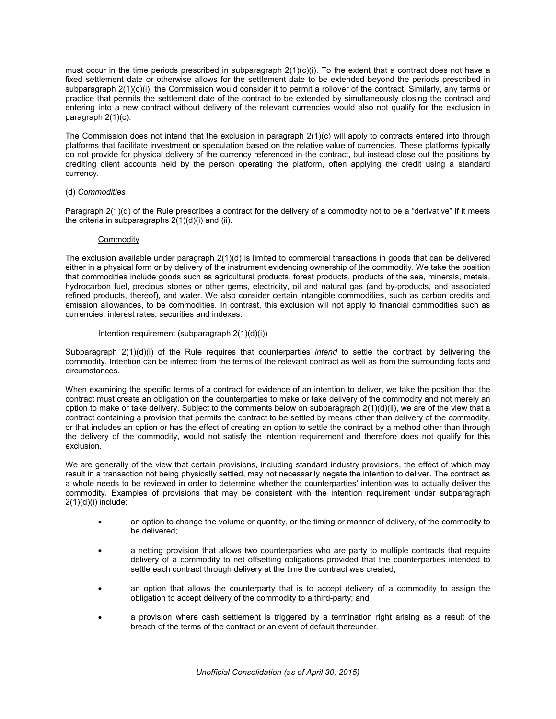must occur in the time periods prescribed in subparagraph  $2(1)(c)(i)$ . To the extent that a contract does not have a fixed settlement date or otherwise allows for the settlement date to be extended beyond the periods prescribed in subparagraph 2(1)(c)(i), the Commission would consider it to permit a rollover of the contract. Similarly, any terms or practice that permits the settlement date of the contract to be extended by simultaneously closing the contract and entering into a new contract without delivery of the relevant currencies would also not qualify for the exclusion in paragraph 2(1)(c).

The Commission does not intend that the exclusion in paragraph 2(1)(c) will apply to contracts entered into through platforms that facilitate investment or speculation based on the relative value of currencies. These platforms typically do not provide for physical delivery of the currency referenced in the contract, but instead close out the positions by crediting client accounts held by the person operating the platform, often applying the credit using a standard currency.

# (d) *Commodities*

Paragraph 2(1)(d) of the Rule prescribes a contract for the delivery of a commodity not to be a "derivative" if it meets the criteria in subparagraphs  $2(1)(d)(i)$  and (ii).

### **Commodity**

The exclusion available under paragraph 2(1)(d) is limited to commercial transactions in goods that can be delivered either in a physical form or by delivery of the instrument evidencing ownership of the commodity. We take the position that commodities include goods such as agricultural products, forest products, products of the sea, minerals, metals, hydrocarbon fuel, precious stones or other gems, electricity, oil and natural gas (and by-products, and associated refined products, thereof), and water. We also consider certain intangible commodities, such as carbon credits and emission allowances, to be commodities. In contrast, this exclusion will not apply to financial commodities such as currencies, interest rates, securities and indexes.

### Intention requirement (subparagraph 2(1)(d)(i))

Subparagraph 2(1)(d)(i) of the Rule requires that counterparties *intend* to settle the contract by delivering the commodity. Intention can be inferred from the terms of the relevant contract as well as from the surrounding facts and circumstances.

When examining the specific terms of a contract for evidence of an intention to deliver, we take the position that the contract must create an obligation on the counterparties to make or take delivery of the commodity and not merely an option to make or take delivery. Subject to the comments below on subparagraph 2(1)(d)(ii), we are of the view that a contract containing a provision that permits the contract to be settled by means other than delivery of the commodity, or that includes an option or has the effect of creating an option to settle the contract by a method other than through the delivery of the commodity, would not satisfy the intention requirement and therefore does not qualify for this exclusion.

We are generally of the view that certain provisions, including standard industry provisions, the effect of which may result in a transaction not being physically settled, may not necessarily negate the intention to deliver. The contract as a whole needs to be reviewed in order to determine whether the counterparties' intention was to actually deliver the commodity. Examples of provisions that may be consistent with the intention requirement under subparagraph  $2(1)(d)(i)$  include:

- an option to change the volume or quantity, or the timing or manner of delivery, of the commodity to be delivered;
- a netting provision that allows two counterparties who are party to multiple contracts that require delivery of a commodity to net offsetting obligations provided that the counterparties intended to settle each contract through delivery at the time the contract was created,
- an option that allows the counterparty that is to accept delivery of a commodity to assign the obligation to accept delivery of the commodity to a third-party; and
- a provision where cash settlement is triggered by a termination right arising as a result of the breach of the terms of the contract or an event of default thereunder.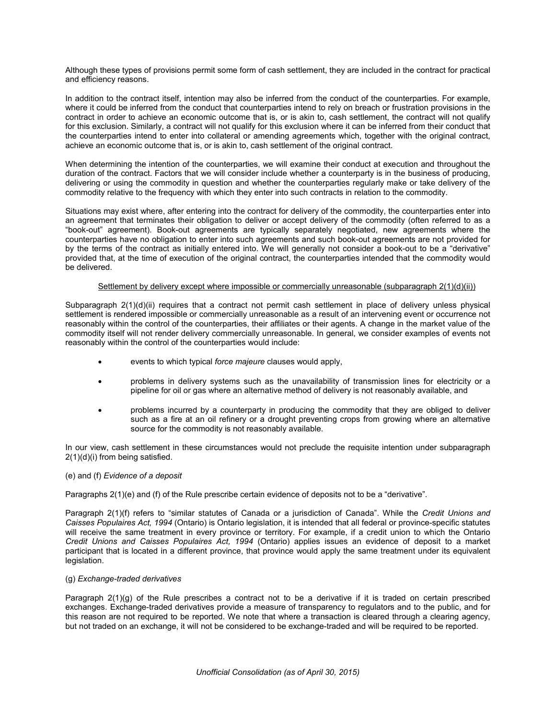Although these types of provisions permit some form of cash settlement, they are included in the contract for practical and efficiency reasons.

In addition to the contract itself, intention may also be inferred from the conduct of the counterparties. For example, where it could be inferred from the conduct that counterparties intend to rely on breach or frustration provisions in the contract in order to achieve an economic outcome that is, or is akin to, cash settlement, the contract will not qualify for this exclusion. Similarly, a contract will not qualify for this exclusion where it can be inferred from their conduct that the counterparties intend to enter into collateral or amending agreements which, together with the original contract, achieve an economic outcome that is, or is akin to, cash settlement of the original contract.

When determining the intention of the counterparties, we will examine their conduct at execution and throughout the duration of the contract. Factors that we will consider include whether a counterparty is in the business of producing, delivering or using the commodity in question and whether the counterparties regularly make or take delivery of the commodity relative to the frequency with which they enter into such contracts in relation to the commodity.

Situations may exist where, after entering into the contract for delivery of the commodity, the counterparties enter into an agreement that terminates their obligation to deliver or accept delivery of the commodity (often referred to as a "book-out" agreement). Book-out agreements are typically separately negotiated, new agreements where the counterparties have no obligation to enter into such agreements and such book-out agreements are not provided for by the terms of the contract as initially entered into. We will generally not consider a book-out to be a "derivative" provided that, at the time of execution of the original contract, the counterparties intended that the commodity would be delivered.

### Settlement by delivery except where impossible or commercially unreasonable (subparagraph 2(1)(d)(ii))

Subparagraph 2(1)(d)(ii) requires that a contract not permit cash settlement in place of delivery unless physical settlement is rendered impossible or commercially unreasonable as a result of an intervening event or occurrence not reasonably within the control of the counterparties, their affiliates or their agents. A change in the market value of the commodity itself will not render delivery commercially unreasonable. In general, we consider examples of events not reasonably within the control of the counterparties would include:

- events to which typical *force majeure* clauses would apply,
- problems in delivery systems such as the unavailability of transmission lines for electricity or a pipeline for oil or gas where an alternative method of delivery is not reasonably available, and
- problems incurred by a counterparty in producing the commodity that they are obliged to deliver such as a fire at an oil refinery or a drought preventing crops from growing where an alternative source for the commodity is not reasonably available.

In our view, cash settlement in these circumstances would not preclude the requisite intention under subparagraph 2(1)(d)(i) from being satisfied.

#### (e) and (f) *Evidence of a deposit*

Paragraphs 2(1)(e) and (f) of the Rule prescribe certain evidence of deposits not to be a "derivative".

Paragraph 2(1)(f) refers to "similar statutes of Canada or a jurisdiction of Canada". While the *Credit Unions and Caisses Populaires Act, 1994* (Ontario) is Ontario legislation, it is intended that all federal or province-specific statutes will receive the same treatment in every province or territory. For example, if a credit union to which the Ontario *Credit Unions and Caisses Populaires Act, 1994* (Ontario) applies issues an evidence of deposit to a market participant that is located in a different province, that province would apply the same treatment under its equivalent legislation.

#### (g) *Exchange-traded derivatives*

Paragraph  $2(1)(g)$  of the Rule prescribes a contract not to be a derivative if it is traded on certain prescribed exchanges. Exchange-traded derivatives provide a measure of transparency to regulators and to the public, and for this reason are not required to be reported. We note that where a transaction is cleared through a clearing agency, but not traded on an exchange, it will not be considered to be exchange-traded and will be required to be reported.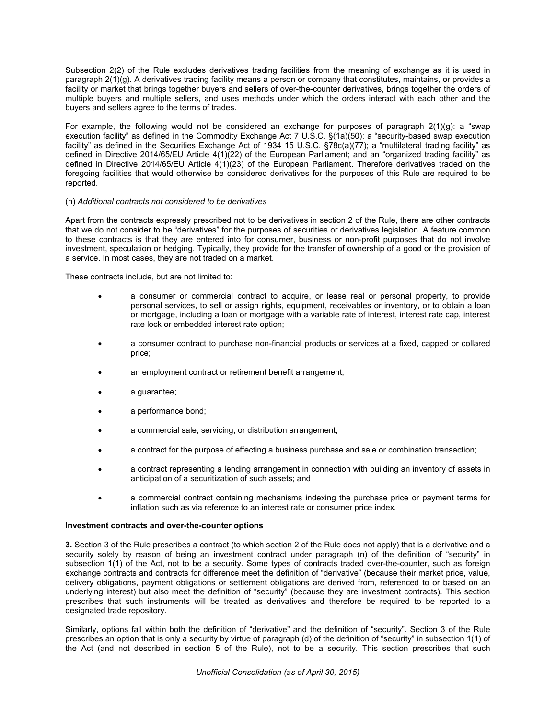Subsection 2(2) of the Rule excludes derivatives trading facilities from the meaning of exchange as it is used in paragraph 2(1)(g). A derivatives trading facility means a person or company that constitutes, maintains, or provides a facility or market that brings together buyers and sellers of over-the-counter derivatives, brings together the orders of multiple buyers and multiple sellers, and uses methods under which the orders interact with each other and the buyers and sellers agree to the terms of trades.

For example, the following would not be considered an exchange for purposes of paragraph 2(1)(g): a "swap execution facility" as defined in the Commodity Exchange Act 7 U.S.C. §(1a)(50); a "security-based swap execution facility" as defined in the Securities Exchange Act of 1934 15 U.S.C. §78c(a)(77); a "multilateral trading facility" as defined in Directive 2014/65/EU Article 4(1)(22) of the European Parliament; and an "organized trading facility" as defined in Directive 2014/65/EU Article 4(1)(23) of the European Parliament. Therefore derivatives traded on the foregoing facilities that would otherwise be considered derivatives for the purposes of this Rule are required to be reported.

### (h) *Additional contracts not considered to be derivatives*

Apart from the contracts expressly prescribed not to be derivatives in section 2 of the Rule, there are other contracts that we do not consider to be "derivatives" for the purposes of securities or derivatives legislation. A feature common to these contracts is that they are entered into for consumer, business or non-profit purposes that do not involve investment, speculation or hedging. Typically, they provide for the transfer of ownership of a good or the provision of a service. In most cases, they are not traded on a market.

These contracts include, but are not limited to:

- a consumer or commercial contract to acquire, or lease real or personal property, to provide personal services, to sell or assign rights, equipment, receivables or inventory, or to obtain a loan or mortgage, including a loan or mortgage with a variable rate of interest, interest rate cap, interest rate lock or embedded interest rate option;
- a consumer contract to purchase non-financial products or services at a fixed, capped or collared price;
- an employment contract or retirement benefit arrangement;
- a guarantee;
- a performance bond;
- a commercial sale, servicing, or distribution arrangement;
- a contract for the purpose of effecting a business purchase and sale or combination transaction;
- a contract representing a lending arrangement in connection with building an inventory of assets in anticipation of a securitization of such assets; and
- a commercial contract containing mechanisms indexing the purchase price or payment terms for inflation such as via reference to an interest rate or consumer price index.

#### **Investment contracts and over-the-counter options**

**3.** Section 3 of the Rule prescribes a contract (to which section 2 of the Rule does not apply) that is a derivative and a security solely by reason of being an investment contract under paragraph (n) of the definition of "security" in subsection 1(1) of the Act, not to be a security. Some types of contracts traded over-the-counter, such as foreign exchange contracts and contracts for difference meet the definition of "derivative" (because their market price, value, delivery obligations, payment obligations or settlement obligations are derived from, referenced to or based on an underlying interest) but also meet the definition of "security" (because they are investment contracts). This section prescribes that such instruments will be treated as derivatives and therefore be required to be reported to a designated trade repository.

Similarly, options fall within both the definition of "derivative" and the definition of "security". Section 3 of the Rule prescribes an option that is only a security by virtue of paragraph (d) of the definition of "security" in subsection 1(1) of the Act (and not described in section 5 of the Rule), not to be a security. This section prescribes that such